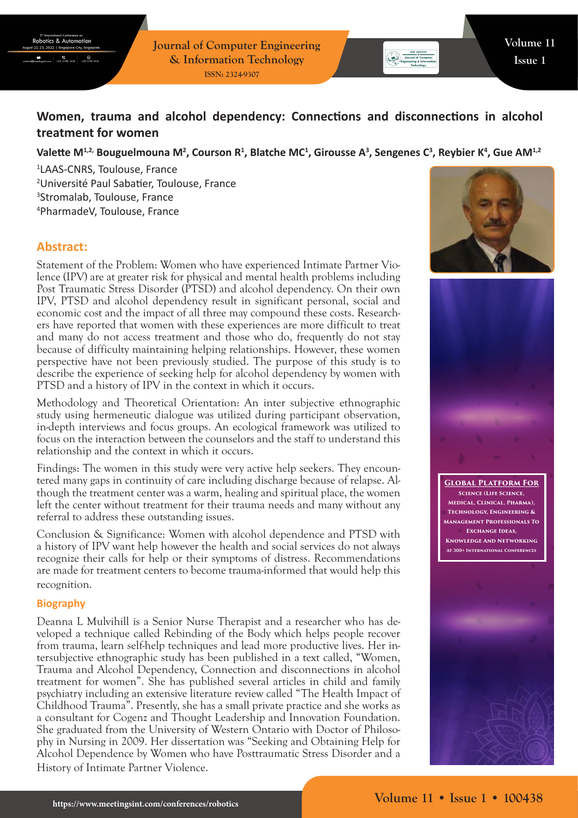**Journal of Computer Engineering & Information Technology ISSN: 2324-9307**

# **Women, trauma and alcohol dependency: Connections and disconnections in alcohol treatment for women**

## Valette M<sup>1,2,</sup> Bouguelmouna M<sup>2</sup>, Courson R<sup>1</sup>, Blatche MC<sup>1</sup>, Girousse A<sup>3</sup>, Sengenes C<sup>3</sup>, Reybier K<sup>4</sup>, Gue AM<sup>1,2</sup>

 LAAS-CNRS, Toulouse, France Université Paul Sabatier, Toulouse, France Stromalab, Toulouse, France PharmadeV, Toulouse, France

## **Abstract:**

Statement of the Problem: Women who have experienced Intimate Partner Violence (IPV) are at greater risk for physical and mental health problems including Post Traumatic Stress Disorder (PTSD) and alcohol dependency. On their own IPV, PTSD and alcohol dependency result in significant personal, social and economic cost and the impact of all three may compound these costs. Researchers have reported that women with these experiences are more difficult to treat and many do not access treatment and those who do, frequently do not stay because of difficulty maintaining helping relationships. However, these women perspective have not been previously studied. The purpose of this study is to describe the experience of seeking help for alcohol dependency by women with PTSD and a history of IPV in the context in which it occurs.

Methodology and Theoretical Orientation: An inter subjective ethnographic study using hermeneutic dialogue was utilized during participant observation, in-depth interviews and focus groups. An ecological framework was utilized to focus on the interaction between the counselors and the staff to understand this relationship and the context in which it occurs.

Findings: The women in this study were very active help seekers. They encountered many gaps in continuity of care including discharge because of relapse. Although the treatment center was a warm, healing and spiritual place, the women left the center without treatment for their trauma needs and many without any referral to address these outstanding issues.

Conclusion & Significance: Women with alcohol dependence and PTSD with a history of IPV want help however the health and social services do not always recognize their calls for help or their symptoms of distress. Recommendations are made for treatment centers to become trauma-informed that would help this recognition.

#### **Biography**

Deanna L Mulvihill is a Senior Nurse Therapist and a researcher who has developed a technique called Rebinding of the Body which helps people recover from trauma, learn self-help techniques and lead more productive lives. Her intersubjective ethnographic study has been published in a text called, "Women, Trauma and Alcohol Dependency, Connection and disconnections in alcohol treatment for women". She has published several articles in child and family psychiatry including an extensive literature review called "The Health Impact of Childhood Trauma". Presently, she has a small private practice and she works as a consultant for Cogenz and Thought Leadership and Innovation Foundation. She graduated from the University of Western Ontario with Doctor of Philosophy in Nursing in 2009. Her dissertation was "Seeking and Obtaining Help for Alcohol Dependence by Women who have Posttraumatic Stress Disorder and a History of Intimate Partner Violence.





**Global Platform For Science (Life Science, Medical, Clinical, Pharma), Technology, Engineering & Management Professionals To Exchange Ideas, Knowledge And Networking At 300+ International Conferences**